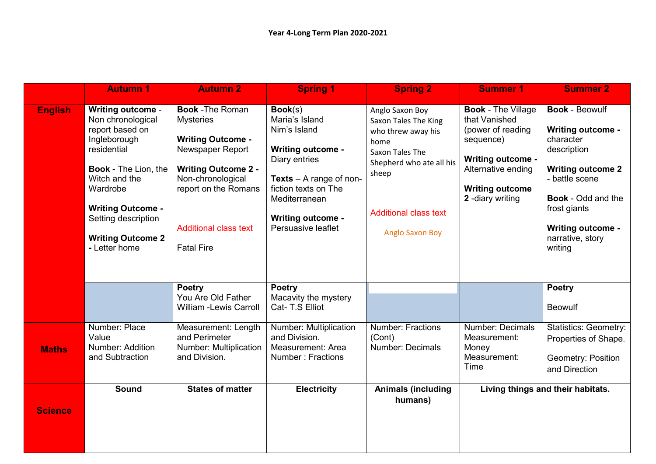|                | <b>Autumn 1</b>                                                                                                                                                                                                                                             | <b>Autumn 2</b>                                                                                                                                                                                                             | <b>Spring 1</b>                                                                                                                                                                                                       | <b>Spring 2</b>                                                                                                                                                                         | <b>Summer 1</b>                                                                                                                                                             | <b>Summer 2</b>                                                                                                                                                                                                                     |
|----------------|-------------------------------------------------------------------------------------------------------------------------------------------------------------------------------------------------------------------------------------------------------------|-----------------------------------------------------------------------------------------------------------------------------------------------------------------------------------------------------------------------------|-----------------------------------------------------------------------------------------------------------------------------------------------------------------------------------------------------------------------|-----------------------------------------------------------------------------------------------------------------------------------------------------------------------------------------|-----------------------------------------------------------------------------------------------------------------------------------------------------------------------------|-------------------------------------------------------------------------------------------------------------------------------------------------------------------------------------------------------------------------------------|
| <b>English</b> | <b>Writing outcome -</b><br>Non chronological<br>report based on<br>Ingleborough<br>residential<br><b>Book - The Lion, the</b><br>Witch and the<br>Wardrobe<br><b>Writing Outcome -</b><br>Setting description<br><b>Writing Outcome 2</b><br>- Letter home | <b>Book - The Roman</b><br><b>Mysteries</b><br><b>Writing Outcome -</b><br>Newspaper Report<br><b>Writing Outcome 2 -</b><br>Non-chronological<br>report on the Romans<br><b>Additional class text</b><br><b>Fatal Fire</b> | Book(s)<br>Maria's Island<br>Nim's Island<br><b>Writing outcome -</b><br>Diary entries<br><b>Texts</b> $-$ A range of non-<br>fiction texts on The<br>Mediterranean<br><b>Writing outcome -</b><br>Persuasive leaflet | Anglo Saxon Boy<br>Saxon Tales The King<br>who threw away his<br>home<br>Saxon Tales The<br>Shepherd who ate all his<br>sheep<br><b>Additional class text</b><br><b>Anglo Saxon Boy</b> | <b>Book - The Village</b><br>that Vanished<br>(power of reading<br>sequence)<br><b>Writing outcome -</b><br>Alternative ending<br><b>Writing outcome</b><br>2-diary writing | <b>Book - Beowulf</b><br><b>Writing outcome -</b><br>character<br>description<br><b>Writing outcome 2</b><br>- battle scene<br><b>Book - Odd and the</b><br>frost giants<br><b>Writing outcome -</b><br>narrative, story<br>writing |
|                |                                                                                                                                                                                                                                                             | <b>Poetry</b><br>You Are Old Father<br><b>William -Lewis Carroll</b>                                                                                                                                                        | <b>Poetry</b><br>Macavity the mystery<br>Cat- T.S Elliot                                                                                                                                                              |                                                                                                                                                                                         |                                                                                                                                                                             | <b>Poetry</b><br><b>Beowulf</b>                                                                                                                                                                                                     |
| <b>Maths</b>   | Number: Place<br>Value<br>Number: Addition<br>and Subtraction                                                                                                                                                                                               | Measurement: Length<br>and Perimeter<br>Number: Multiplication<br>and Division.                                                                                                                                             | Number: Multiplication<br>and Division.<br>Measurement: Area<br>Number: Fractions                                                                                                                                     | <b>Number: Fractions</b><br>(Cont)<br>Number: Decimals                                                                                                                                  | <b>Number: Decimals</b><br>Measurement:<br>Money<br>Measurement:<br>Time                                                                                                    | <b>Statistics: Geometry:</b><br>Properties of Shape.<br><b>Geometry: Position</b><br>and Direction                                                                                                                                  |
| <b>Science</b> | <b>Sound</b>                                                                                                                                                                                                                                                | <b>States of matter</b>                                                                                                                                                                                                     | <b>Electricity</b>                                                                                                                                                                                                    | <b>Animals (including</b><br>humans)                                                                                                                                                    |                                                                                                                                                                             | Living things and their habitats.                                                                                                                                                                                                   |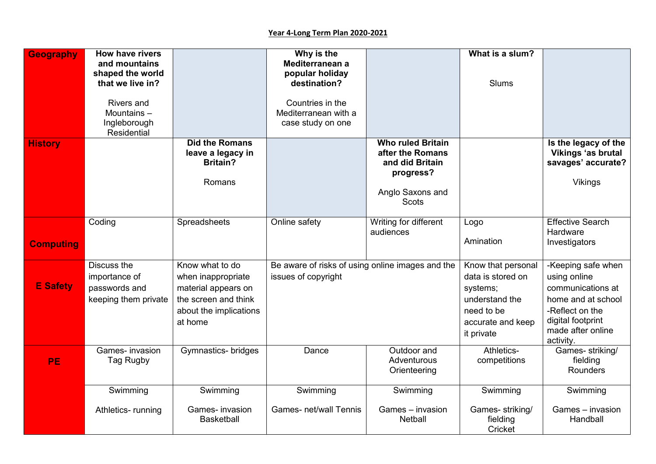| <b>Geography</b> | <b>How have rivers</b><br>and mountains<br>shaped the world<br>that we live in? |                                                                                                                           | Why is the<br>Mediterranean a<br>popular holiday<br>destination?        |                                                                                                                  | What is a slum?<br><b>Slums</b>                                                                                        |                                                                                                                                                         |
|------------------|---------------------------------------------------------------------------------|---------------------------------------------------------------------------------------------------------------------------|-------------------------------------------------------------------------|------------------------------------------------------------------------------------------------------------------|------------------------------------------------------------------------------------------------------------------------|---------------------------------------------------------------------------------------------------------------------------------------------------------|
|                  | <b>Rivers and</b><br>Mountains-<br>Ingleborough<br>Residential                  |                                                                                                                           | Countries in the<br>Mediterranean with a<br>case study on one           |                                                                                                                  |                                                                                                                        |                                                                                                                                                         |
| <b>History</b>   |                                                                                 | <b>Did the Romans</b><br>leave a legacy in<br><b>Britain?</b><br>Romans                                                   |                                                                         | <b>Who ruled Britain</b><br>after the Romans<br>and did Britain<br>progress?<br>Anglo Saxons and<br><b>Scots</b> |                                                                                                                        | Is the legacy of the<br>Vikings 'as brutal<br>savages' accurate?<br><b>Vikings</b>                                                                      |
| <b>Computing</b> | Coding                                                                          | Spreadsheets                                                                                                              | Online safety                                                           | Writing for different<br>audiences                                                                               | Logo<br>Amination                                                                                                      | <b>Effective Search</b><br>Hardware<br>Investigators                                                                                                    |
| <b>E</b> Safety  | Discuss the<br>importance of<br>passwords and<br>keeping them private           | Know what to do<br>when inappropriate<br>material appears on<br>the screen and think<br>about the implications<br>at home | Be aware of risks of using online images and the<br>issues of copyright |                                                                                                                  | Know that personal<br>data is stored on<br>systems;<br>understand the<br>need to be<br>accurate and keep<br>it private | -Keeping safe when<br>using online<br>communications at<br>home and at school<br>-Reflect on the<br>digital footprint<br>made after online<br>activity. |
| PE               | Games- invasion<br>Tag Rugby                                                    | Gymnastics- bridges                                                                                                       | Dance                                                                   | Outdoor and<br>Adventurous<br>Orienteering                                                                       | Athletics-<br>competitions                                                                                             | Games- striking/<br>fielding<br><b>Rounders</b>                                                                                                         |
|                  | Swimming<br>Athletics-running                                                   | Swimming<br>Games- invasion<br><b>Basketball</b>                                                                          | Swimming<br><b>Games- net/wall Tennis</b>                               | Swimming<br>Games - invasion<br>Netball                                                                          | Swimming<br>Games-striking/<br>fielding<br>Cricket                                                                     | Swimming<br>Games - invasion<br>Handball                                                                                                                |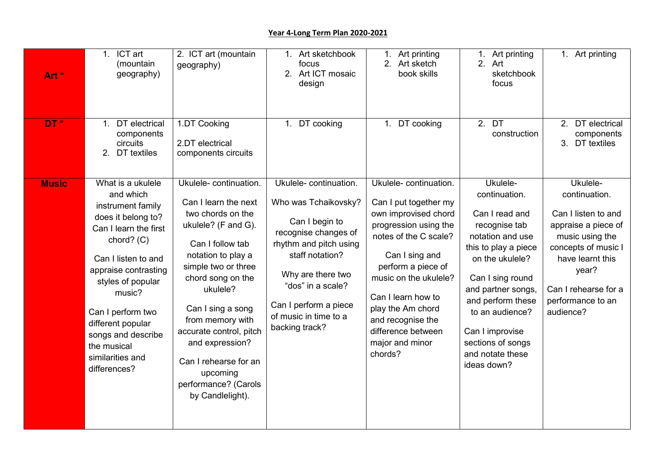## **Year 4-Long Term Plan 2020-2021**

| Art *<br>DT* | 1. ICT art<br>(mountain<br>geography)<br>DT electrical<br>1.<br>components<br>circuits                                                                                                                                                                                                                            | 2. ICT art (mountain<br>geography)<br>1.DT Cooking<br>2.DT electrical                                                                                                                                                                                                                                                                                               | 1. Art sketchbook<br>focus<br>2. Art ICT mosaic<br>design<br>1. DT cooking                                                                                                                                                                         | 1. Art printing<br>2. Art sketch<br>book skills<br>1. DT cooking                                                                                                                                                                                                                                              | 1. Art printing<br>Art<br>2 <sub>1</sub><br>sketchbook<br>focus<br>2.DT<br>construction                                                                                                                                                                                                  | 1. Art printing<br>DT electrical<br>2.<br>components<br>3.<br>DT textiles                                                                                                                                |
|--------------|-------------------------------------------------------------------------------------------------------------------------------------------------------------------------------------------------------------------------------------------------------------------------------------------------------------------|---------------------------------------------------------------------------------------------------------------------------------------------------------------------------------------------------------------------------------------------------------------------------------------------------------------------------------------------------------------------|----------------------------------------------------------------------------------------------------------------------------------------------------------------------------------------------------------------------------------------------------|---------------------------------------------------------------------------------------------------------------------------------------------------------------------------------------------------------------------------------------------------------------------------------------------------------------|------------------------------------------------------------------------------------------------------------------------------------------------------------------------------------------------------------------------------------------------------------------------------------------|----------------------------------------------------------------------------------------------------------------------------------------------------------------------------------------------------------|
|              | 2.<br>DT textiles                                                                                                                                                                                                                                                                                                 | components circuits                                                                                                                                                                                                                                                                                                                                                 |                                                                                                                                                                                                                                                    |                                                                                                                                                                                                                                                                                                               |                                                                                                                                                                                                                                                                                          |                                                                                                                                                                                                          |
| <b>Music</b> | What is a ukulele<br>and which<br>instrument family<br>does it belong to?<br>Can I learn the first<br>chord? (C)<br>Can I listen to and<br>appraise contrasting<br>styles of popular<br>music?<br>Can I perform two<br>different popular<br>songs and describe<br>the musical<br>similarities and<br>differences? | Ukulele-continuation.<br>Can I learn the next<br>two chords on the<br>ukulele? (F and G).<br>Can I follow tab<br>notation to play a<br>simple two or three<br>chord song on the<br>ukulele?<br>Can I sing a song<br>from memory with<br>accurate control, pitch<br>and expression?<br>Can I rehearse for an<br>upcoming<br>performance? (Carols<br>by Candlelight). | Ukulele-continuation.<br>Who was Tchaikovsky?<br>Can I begin to<br>recognise changes of<br>rhythm and pitch using<br>staff notation?<br>Why are there two<br>"dos" in a scale?<br>Can I perform a piece<br>of music in time to a<br>backing track? | Ukulele-continuation.<br>Can I put together my<br>own improvised chord<br>progression using the<br>notes of the C scale?<br>Can I sing and<br>perform a piece of<br>music on the ukulele?<br>Can I learn how to<br>play the Am chord<br>and recognise the<br>difference between<br>major and minor<br>chords? | Ukulele-<br>continuation.<br>Can I read and<br>recognise tab<br>notation and use<br>this to play a piece<br>on the ukulele?<br>Can I sing round<br>and partner songs,<br>and perform these<br>to an audience?<br>Can I improvise<br>sections of songs<br>and notate these<br>ideas down? | Ukulele-<br>continuation.<br>Can I listen to and<br>appraise a piece of<br>music using the<br>concepts of music I<br>have learnt this<br>year?<br>Can I rehearse for a<br>performance to an<br>audience? |